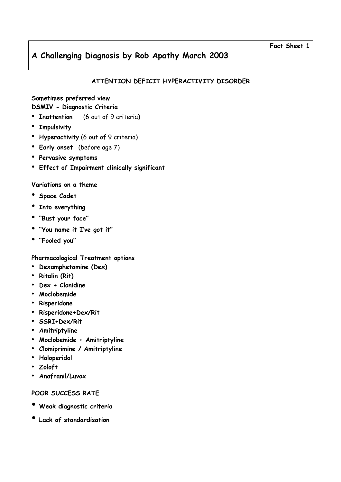# ATTENTION DEFICIT HYPERACTIVITY DISORDER

## Sometimes preferred view DSMIV - Diagnostic Criteria

- Inattention (6 out of 9 criteria)
- Impulsivity
- Hyperactivity (6 out of 9 criteria)
- Early onset (before age 7)
- Pervasive symptoms
- Effect of Impairment clinically significant

## Variations on a theme

- Space Cadet
- Into everything
- "Bust your face"
- "You name it I've got it"
- "Fooled you"

## Pharmacological Treatment options

- Dexamphetamine (Dex)
- Ritalin (Rit)
- Dex + Clonidine
- Moclobemide
- Risperidone
- Risperidone+Dex/Rit
- SSRI+Dex/Rit
- Amitriptyline
- Moclobemide + Amitriptyline
- Clomiprimine / Amitriptyline
- Haloperidol
- Zoloft
- Anafranil/Luvox

## POOR SUCCESS RATE

- Weak diagnostic criteria
- Lack of standardisation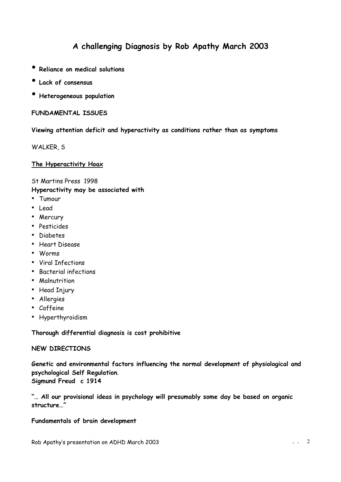- Reliance on medical solutions
- Lack of consensus
- Heterogeneous population

FUNDAMENTAL ISSUES

### Viewing attention deficit and hyperactivity as conditions rather than as symptoms

WALKER, S

The Hyperactivity Hoax

St Martins Press 1998

Hyperactivity may be associated with

- Tumour
- Lead
- Mercury
- Pesticides
- Diabetes
- Heart Disease
- Worms
- Viral Infections
- Bacterial infections
- Malnutrition
- Head Injury
- Allergies
- Caffeine
- Hyperthyroidism

Thorough differential diagnosis is cost prohibitive

### NEW DIRECTIONS

Genetic and environmental factors influencing the normal development of physiological and psychological Self Regulation. Sigmund Freud c 1914

"… All our provisional ideas in psychology will presumably some day be based on organic structure…"

### Fundamentals of brain development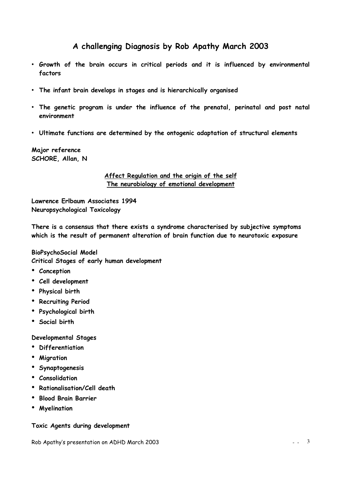- Growth of the brain occurs in critical periods and it is influenced by environmental factors
- The infant brain develops in stages and is hierarchically organised
- The genetic program is under the influence of the prenatal, perinatal and post natal environment
- Ultimate functions are determined by the ontogenic adaptation of structural elements

Major reference SCHORE, Allan, N

### Affect Regulation and the origin of the self The neurobiology of emotional development

Lawrence Erlbaum Associates 1994 Neuropsychological Toxicology

There is a consensus that there exists a syndrome characterised by subjective symptoms which is the result of permanent alteration of brain function due to neurotoxic exposure

BioPsychoSocial Model Critical Stages of early human development

- Conception
- Cell development
- Physical birth
- Recruiting Period
- Psychological birth
- Social birth

### Developmental Stages

- Differentiation
- Migration
- Synaptogenesis
- Consolidation
- Rationalisation/Cell death
- Blood Brain Barrier
- Myelination

### Toxic Agents during development

Rob Apathy's presentation on ADHD March 2003  $\frac{3}{2}$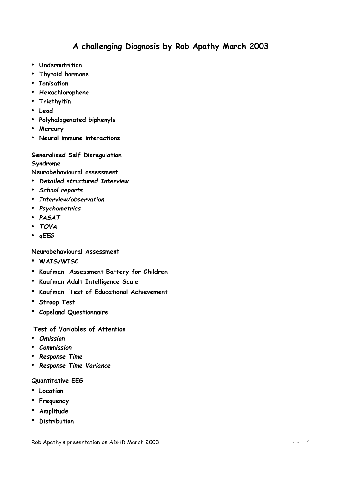- Undernutrition
- Thyroid hormone
- Ionisation
- Hexachlorophene
- Triethyltin
- Lead
- Polyhalogenated biphenyls
- Mercury
- Neural immune interactions

# Generalised Self Disregulation Syndrome

Neurobehavioural assessment

- Detailed structured Interview
- School reports
- Interview/observation
- Psychometrics
- PASAT
- TOVA
- qEEG

Neurobehavioural Assessment

- WAIS/WISC
- Kaufman Assessment Battery for Children
- Kaufman Adult Intelligence Scale
- Kaufman Test of Educational Achievement
- Stroop Test
- Copeland Questionnaire

### Test of Variables of Attention

- Omission
- Commission
- Response Time
- Response Time Variance

### Quantitative EEG

- Location
- Frequency
- Amplitude
- Distribution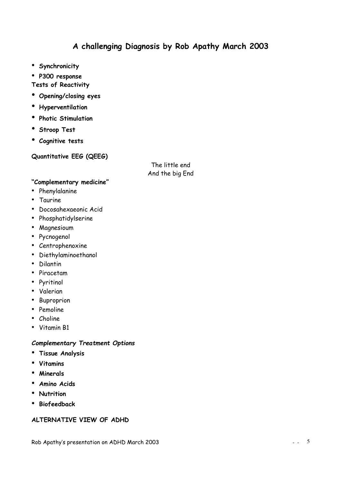- Synchronicity
- P300 response

### Tests of Reactivity

- Opening/closing eyes
- Hyperventilation
- Photic Stimulation
- Stroop Test
- Cognitive tests

## Quantitative EEG (QEEG)

The little end And the big End

### "Complementary medicine"

- Phenylalanine
- Taurine
- Docosahexaeonic Acid
- Phosphatidylserine
- Magnesioum
- Pycnogenol
- Centrophenoxine
- Diethylaminoethanol
- Dilantin
- Piracetam
- Pyritinol
- Valerian
- Buproprion
- Pemoline
- Choline
- Vitamin B1

### Complementary Treatment Options

- Tissue Analysis
- Vitamins
- Minerals
- Amino Acids
- Nutrition
- Biofeedback

## ALTERNATIVE VIEW OF ADHD